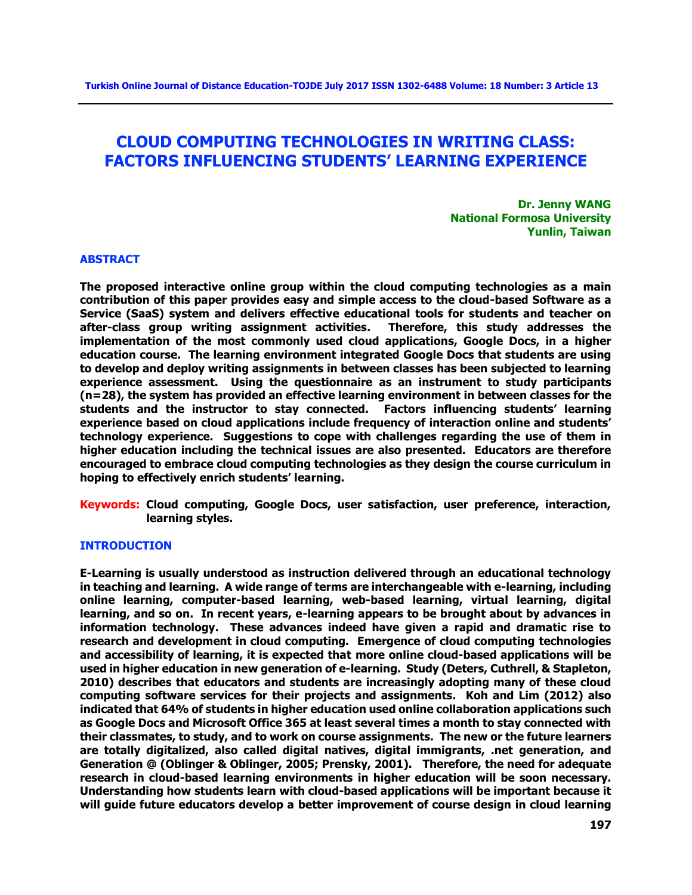# **CLOUD COMPUTING TECHNOLOGIES IN WRITING CLASS: FACTORS INFLUENCING STUDENTS' LEARNING EXPERIENCE**

**Dr. Jenny WANG National Formosa University Yunlin, Taiwan**

### **ABSTRACT**

**The proposed interactive online group within the cloud computing technologies as a main contribution of this paper provides easy and simple access to the cloud-based Software as a Service (SaaS) system and delivers effective educational tools for students and teacher on after-class group writing assignment activities. Therefore, this study addresses the implementation of the most commonly used cloud applications, Google Docs, in a higher education course. The learning environment integrated Google Docs that students are using to develop and deploy writing assignments in between classes has been subjected to learning experience assessment. Using the questionnaire as an instrument to study participants (n=28), the system has provided an effective learning environment in between classes for the students and the instructor to stay connected. Factors influencing students' learning experience based on cloud applications include frequency of interaction online and students' technology experience. Suggestions to cope with challenges regarding the use of them in higher education including the technical issues are also presented. Educators are therefore encouraged to embrace cloud computing technologies as they design the course curriculum in hoping to effectively enrich students' learning.** 

**Keywords: Cloud computing, Google Docs, user satisfaction, user preference, interaction, learning styles.**

#### **INTRODUCTION**

**E-Learning is usually understood as instruction delivered through an educational technology in teaching and learning. A wide range of terms are interchangeable with e-learning, including online learning, computer-based learning, web-based learning, virtual learning, digital learning, and so on. In recent years, e-learning appears to be brought about by advances in information technology. These advances indeed have given a rapid and dramatic rise to research and development in cloud computing. Emergence of cloud computing technologies and accessibility of learning, it is expected that more online cloud-based applications will be used in higher education in new generation of e-learning. Study (Deters, Cuthrell, & Stapleton, 2010) describes that educators and students are increasingly adopting many of these cloud computing software services for their projects and assignments. Koh and Lim (2012) also indicated that 64% of students in higher education used online collaboration applications such as Google Docs and Microsoft Office 365 at least several times a month to stay connected with their classmates, to study, and to work on course assignments. The new or the future learners are totally digitalized, also called digital natives, digital immigrants, .net generation, and Generation @ (Oblinger & Oblinger, 2005; Prensky, 2001). Therefore, the need for adequate research in cloud-based learning environments in higher education will be soon necessary. Understanding how students learn with cloud-based applications will be important because it will guide future educators develop a better improvement of course design in cloud learning**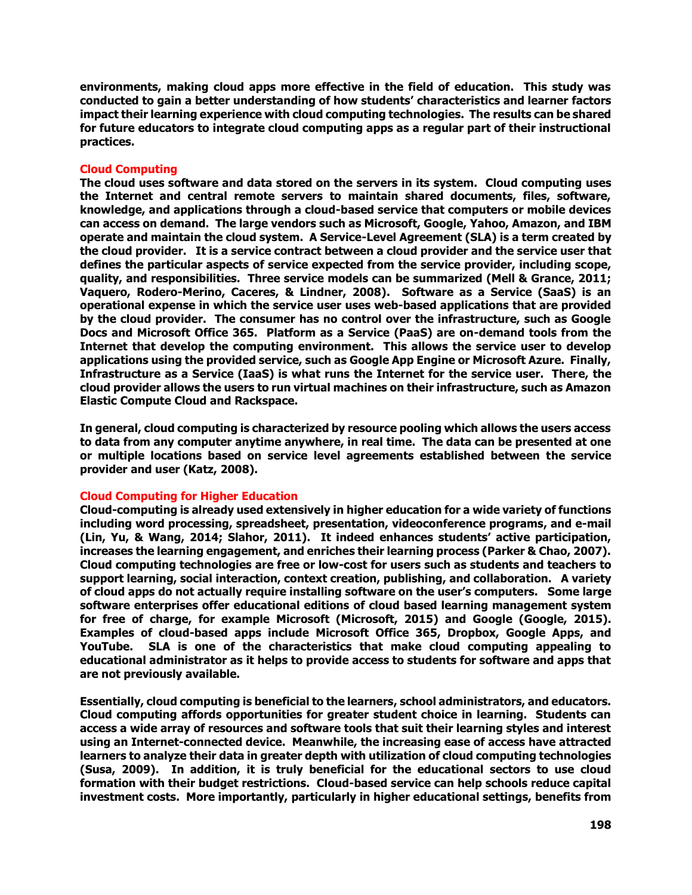**environments, making cloud apps more effective in the field of education. This study was conducted to gain a better understanding of how students' characteristics and learner factors impact their learning experience with cloud computing technologies. The results can be shared for future educators to integrate cloud computing apps as a regular part of their instructional practices.**

# **Cloud Computing**

**The cloud uses software and data stored on the servers in its system. Cloud computing uses the Internet and central remote servers to maintain shared documents, files, software, knowledge, and applications through a cloud-based service that computers or mobile devices can access on demand. The large vendors such as Microsoft, Google, Yahoo, Amazon, and IBM operate and maintain the cloud system. A Service-Level Agreement (SLA) is a term created by the cloud provider. It is a service contract between a cloud provider and the service user that defines the particular aspects of service expected from the service provider, including scope, quality, and responsibilities. Three service models can be summarized (Mell & Grance, 2011; Vaquero, Rodero-Merino, Caceres, & Lindner, 2008). Software as a Service (SaaS) is an operational expense in which the service user uses web-based applications that are provided by the cloud provider. The consumer has no control over the infrastructure, such as Google Docs and Microsoft Office 365. Platform as a Service (PaaS) are on-demand tools from the Internet that develop the computing environment. This allows the service user to develop applications using the provided service, such as Google App Engine or Microsoft Azure. Finally, Infrastructure as a Service (IaaS) is what runs the Internet for the service user. There, the cloud provider allows the users to run virtual machines on their infrastructure, such as Amazon Elastic Compute Cloud and Rackspace.** 

**In general, cloud computing is characterized by resource pooling which allows the users access to data from any computer anytime anywhere, in real time. The data can be presented at one or multiple locations based on service level agreements established between the service provider and user (Katz, 2008).**

# **Cloud Computing for Higher Education**

**Cloud-computing is already used extensively in higher education for a wide variety of functions including word processing, spreadsheet, presentation, videoconference programs, and e-mail (Lin, Yu, & Wang, 2014; Slahor, 2011). It indeed enhances students' active participation, increases the learning engagement, and enriches their learning process (Parker & Chao, 2007). Cloud computing technologies are free or low-cost for users such as students and teachers to support learning, social interaction, context creation, publishing, and collaboration. A variety of cloud apps do not actually require installing software on the user's computers. Some large software enterprises offer educational editions of cloud based learning management system for free of charge, for example Microsoft (Microsoft, 2015) and Google (Google, 2015). Examples of cloud-based apps include Microsoft Office 365, Dropbox, Google Apps, and YouTube. SLA is one of the characteristics that make cloud computing appealing to educational administrator as it helps to provide access to students for software and apps that are not previously available.** 

**Essentially, cloud computing is beneficial to the learners, school administrators, and educators. Cloud computing affords opportunities for greater student choice in learning. Students can access a wide array of resources and software tools that suit their learning styles and interest using an Internet-connected device. Meanwhile, the increasing ease of access have attracted learners to analyze their data in greater depth with utilization of cloud computing technologies (Susa, 2009). In addition, it is truly beneficial for the educational sectors to use cloud formation with their budget restrictions. Cloud-based service can help schools reduce capital investment costs. More importantly, particularly in higher educational settings, benefits from**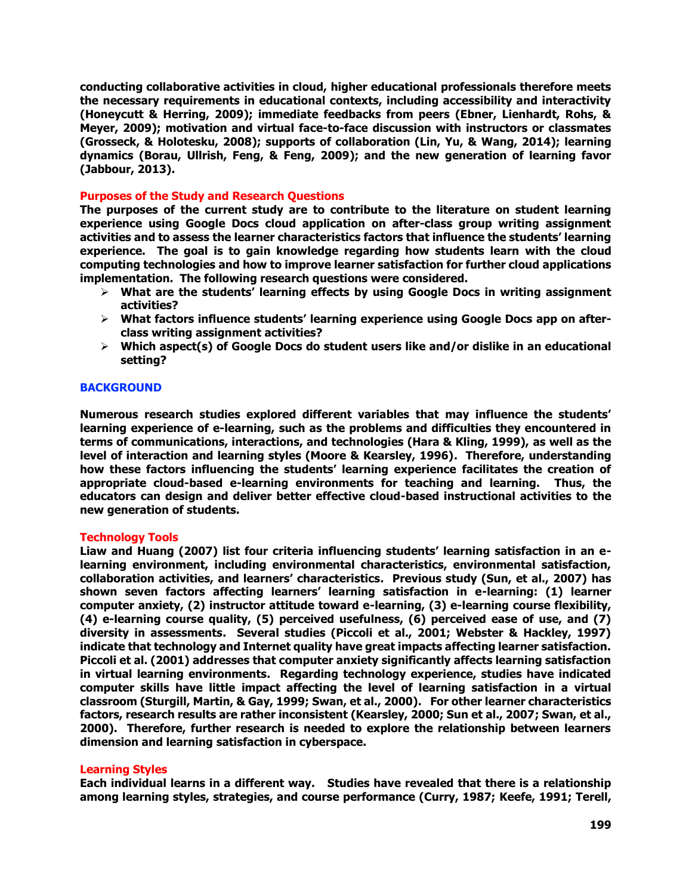**conducting collaborative activities in cloud, higher educational professionals therefore meets the necessary requirements in educational contexts, including accessibility and interactivity (Honeycutt & Herring, 2009); immediate feedbacks from peers (Ebner, Lienhardt, Rohs, & Meyer, 2009); motivation and virtual face-to-face discussion with instructors or classmates (Grosseck, & Holotesku, 2008); supports of collaboration (Lin, Yu, & Wang, 2014); learning dynamics (Borau, Ullrish, Feng, & Feng, 2009); and the new generation of learning favor (Jabbour, 2013).** 

### **Purposes of the Study and Research Questions**

**The purposes of the current study are to contribute to the literature on student learning experience using Google Docs cloud application on after-class group writing assignment activities and to assess the learner characteristics factors that influence the students' learning experience. The goal is to gain knowledge regarding how students learn with the cloud computing technologies and how to improve learner satisfaction for further cloud applications implementation. The following research questions were considered.**

- **What are the students' learning effects by using Google Docs in writing assignment activities?**
- **What factors influence students' learning experience using Google Docs app on afterclass writing assignment activities?**
- **Which aspect(s) of Google Docs do student users like and/or dislike in an educational setting?**

# **BACKGROUND**

**Numerous research studies explored different variables that may influence the students' learning experience of e-learning, such as the problems and difficulties they encountered in terms of communications, interactions, and technologies (Hara & Kling, 1999), as well as the level of interaction and learning styles (Moore & Kearsley, 1996). Therefore, understanding how these factors influencing the students' learning experience facilitates the creation of appropriate cloud-based e-learning environments for teaching and learning. Thus, the educators can design and deliver better effective cloud-based instructional activities to the new generation of students.** 

### **Technology Tools**

**Liaw and Huang (2007) list four criteria influencing students' learning satisfaction in an elearning environment, including environmental characteristics, environmental satisfaction, collaboration activities, and learners' characteristics. Previous study (Sun, et al., 2007) has shown seven factors affecting learners' learning satisfaction in e-learning: (1) learner computer anxiety, (2) instructor attitude toward e-learning, (3) e-learning course flexibility, (4) e-learning course quality, (5) perceived usefulness, (6) perceived ease of use, and (7) diversity in assessments. Several studies (Piccoli et al., 2001; Webster & Hackley, 1997) indicate that technology and Internet quality have great impacts affecting learner satisfaction. Piccoli et al. (2001) addresses that computer anxiety significantly affects learning satisfaction in virtual learning environments. Regarding technology experience, studies have indicated computer skills have little impact affecting the level of learning satisfaction in a virtual classroom (Sturgill, Martin, & Gay, 1999; Swan, et al., 2000). For other learner characteristics factors, research results are rather inconsistent (Kearsley, 2000; Sun et al., 2007; Swan, et al., 2000). Therefore, further research is needed to explore the relationship between learners dimension and learning satisfaction in cyberspace.** 

### **Learning Styles**

**Each individual learns in a different way. Studies have revealed that there is a relationship among learning styles, strategies, and course performance (Curry, 1987; Keefe, 1991; Terell,**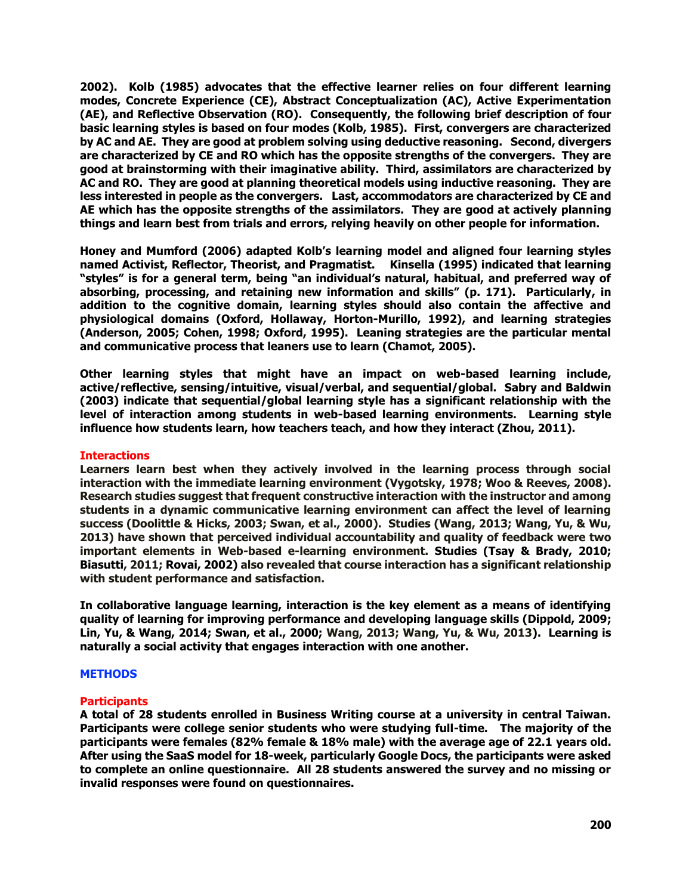**2002). Kolb (1985) advocates that the effective learner relies on four different learning modes, Concrete Experience (CE), Abstract Conceptualization (AC), Active Experimentation (AE), and Reflective Observation (RO). Consequently, the following brief description of four basic learning styles is based on four modes (Kolb, 1985). First, convergers are characterized by AC and AE. They are good at problem solving using deductive reasoning. Second, divergers are characterized by CE and RO which has the opposite strengths of the convergers. They are good at brainstorming with their imaginative ability. Third, assimilators are characterized by AC and RO. They are good at planning theoretical models using inductive reasoning. They are less interested in people as the convergers. Last, accommodators are characterized by CE and AE which has the opposite strengths of the assimilators. They are good at actively planning things and learn best from trials and errors, relying heavily on other people for information.** 

**Honey and Mumford (2006) adapted Kolb's learning model and aligned four learning styles named Activist, Reflector, Theorist, and Pragmatist. Kinsella (1995) indicated that learning "styles" is for a general term, being "an individual's natural, habitual, and preferred way of absorbing, processing, and retaining new information and skills" (p. 171). Particularly, in addition to the cognitive domain, learning styles should also contain the affective and physiological domains (Oxford, Hollaway, Horton-Murillo, 1992), and learning strategies (Anderson, 2005; Cohen, 1998; Oxford, 1995). Leaning strategies are the particular mental and communicative process that leaners use to learn (Chamot, 2005).** 

**Other learning styles that might have an impact on web-based learning include, active/reflective, sensing/intuitive, visual/verbal, and sequential/global. Sabry and Baldwin (2003) indicate that sequential/global learning style has a significant relationship with the level of interaction among students in web-based learning environments. Learning style influence how students learn, how teachers teach, and how they interact (Zhou, 2011).** 

# **Interactions**

**Learners learn best when they actively involved in the learning process through social interaction with the immediate learning environment (Vygotsky, 1978; Woo & Reeves, 2008). Research studies suggest that frequent constructive interaction with the instructor and among students in a dynamic communicative learning environment can affect the level of learning success (Doolittle & Hicks, 2003; Swan, et al., 2000). Studies (Wang, 2013; Wang, Yu, & Wu, 2013) have shown that perceived individual accountability and quality of feedback were two important elements in Web-based e-learning environment. Studies (Tsay & Brady, 2010; Biasutti, 2011; Rovai, 2002) also revealed that course interaction has a significant relationship with student performance and satisfaction.** 

**In collaborative language learning, interaction is the key element as a means of identifying quality of learning for improving performance and developing language skills (Dippold, 2009; Lin, Yu, & Wang, 2014; Swan, et al., 2000; Wang, 2013; Wang, Yu, & Wu, 2013). Learning is naturally a social activity that engages interaction with one another.** 

# **METHODS**

# **Participants**

**A total of 28 students enrolled in Business Writing course at a university in central Taiwan. Participants were college senior students who were studying full-time. The majority of the participants were females (82% female & 18% male) with the average age of 22.1 years old. After using the SaaS model for 18-week, particularly Google Docs, the participants were asked to complete an online questionnaire. All 28 students answered the survey and no missing or invalid responses were found on questionnaires.**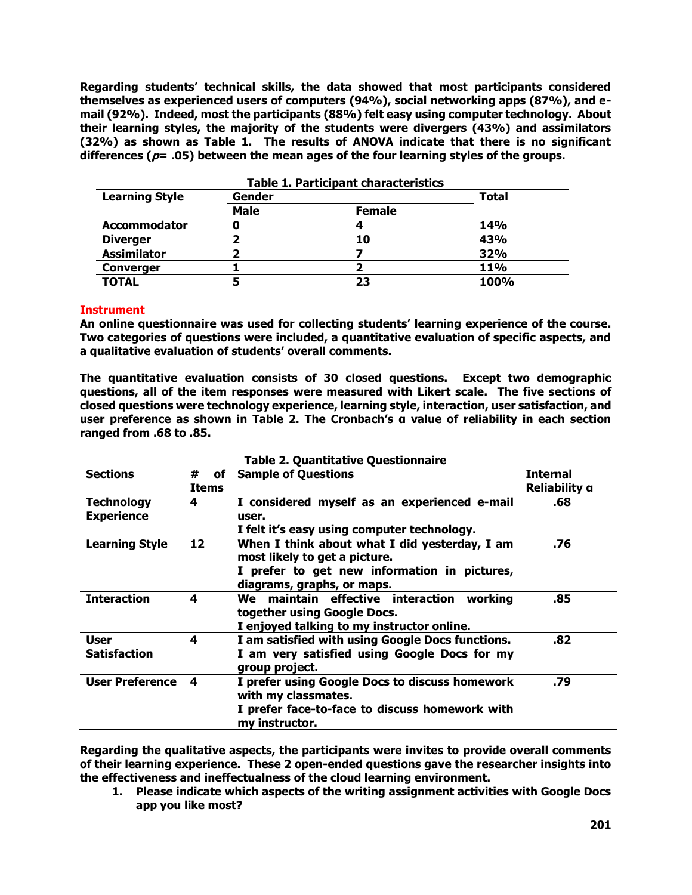**Regarding students' technical skills, the data showed that most participants considered themselves as experienced users of computers (94%), social networking apps (87%), and email (92%). Indeed, most the participants (88%) felt easy using computer technology. About their learning styles, the majority of the students were divergers (43%) and assimilators (32%) as shown as Table 1. The results of ANOVA indicate that there is no significant differences (p= .05) between the mean ages of the four learning styles of the groups.** 

| <b>Table 1. Participant characteristics</b> |        |               |            |  |  |  |
|---------------------------------------------|--------|---------------|------------|--|--|--|
| <b>Learning Style</b>                       | Gender | <b>Total</b>  |            |  |  |  |
|                                             | Male   | <b>Female</b> |            |  |  |  |
| <b>Accommodator</b>                         | u      |               | 14%        |  |  |  |
| <b>Diverger</b>                             |        | 10            | 43%        |  |  |  |
| <b>Assimilator</b>                          |        |               | 32%        |  |  |  |
| <b>Converger</b>                            |        |               | <b>11%</b> |  |  |  |
| <b>TOTAL</b>                                |        | 23            | 100%       |  |  |  |

# **Instrument**

**An online questionnaire was used for collecting students' learning experience of the course. Two categories of questions were included, a quantitative evaluation of specific aspects, and a qualitative evaluation of students' overall comments.** 

**The quantitative evaluation consists of 30 closed questions. Except two demographic questions, all of the item responses were measured with Likert scale. The five sections of closed questions were technology experience, learning style, interaction, user satisfaction, and user preference as shown in Table 2. The Cronbach's α value of reliability in each section ranged from .68 to .85.** 

| <b>Table 2. Quantitative Questionnaire</b> |                         |                                                                                                                                                              |                                  |  |  |
|--------------------------------------------|-------------------------|--------------------------------------------------------------------------------------------------------------------------------------------------------------|----------------------------------|--|--|
| <b>Sections</b>                            | #<br>οf<br><b>Items</b> | <b>Sample of Questions</b>                                                                                                                                   | <b>Internal</b><br>Reliability a |  |  |
| <b>Technology</b><br><b>Experience</b>     | 4                       | I considered myself as an experienced e-mail<br>user.<br>I felt it's easy using computer technology.                                                         | .68                              |  |  |
| <b>Learning Style</b>                      | 12                      | When I think about what I did yesterday, I am<br>most likely to get a picture.<br>I prefer to get new information in pictures,<br>diagrams, graphs, or maps. | .76                              |  |  |
| <b>Interaction</b>                         | 4                       | We maintain effective interaction<br>working<br>together using Google Docs.<br>I enjoyed talking to my instructor online.                                    | .85                              |  |  |
| <b>User</b><br><b>Satisfaction</b>         | 4                       | I am satisfied with using Google Docs functions.<br>I am very satisfied using Google Docs for my<br>group project.                                           | .82                              |  |  |
| <b>User Preference</b>                     | 4                       | I prefer using Google Docs to discuss homework<br>with my classmates.<br>I prefer face-to-face to discuss homework with<br>my instructor.                    | .79                              |  |  |

**Regarding the qualitative aspects, the participants were invites to provide overall comments of their learning experience. These 2 open-ended questions gave the researcher insights into the effectiveness and ineffectualness of the cloud learning environment.** 

**1. Please indicate which aspects of the writing assignment activities with Google Docs app you like most?**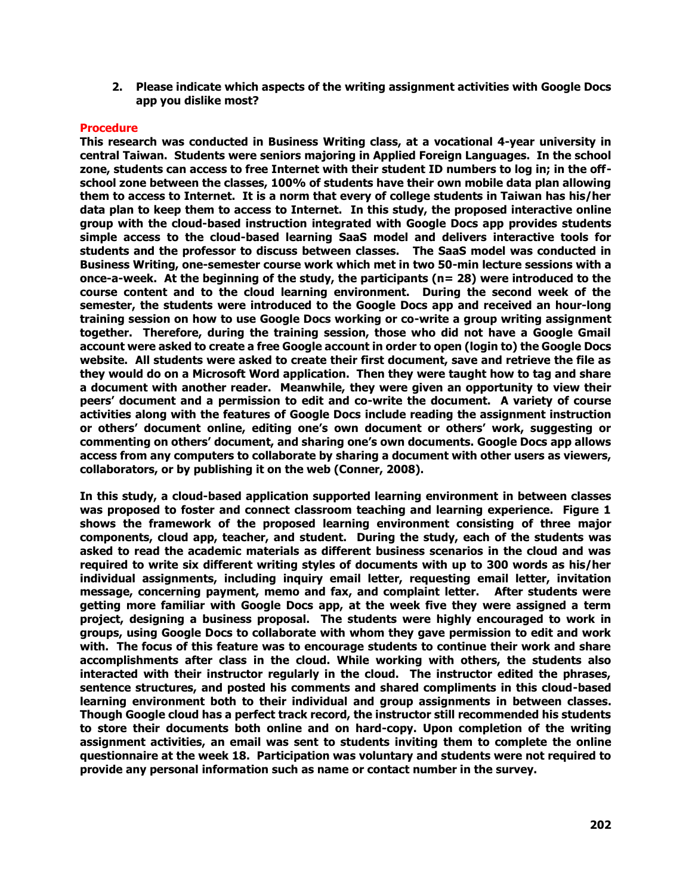**2. Please indicate which aspects of the writing assignment activities with Google Docs app you dislike most?**

### **Procedure**

**This research was conducted in Business Writing class, at a vocational 4-year university in central Taiwan. Students were seniors majoring in Applied Foreign Languages. In the school zone, students can access to free Internet with their student ID numbers to log in; in the offschool zone between the classes, 100% of students have their own mobile data plan allowing them to access to Internet. It is a norm that every of college students in Taiwan has his/her data plan to keep them to access to Internet. In this study, the proposed interactive online group with the cloud-based instruction integrated with Google Docs app provides students simple access to the cloud-based learning SaaS model and delivers interactive tools for students and the professor to discuss between classes. The SaaS model was conducted in Business Writing, one-semester course work which met in two 50-min lecture sessions with a once-a-week. At the beginning of the study, the participants (n= 28) were introduced to the course content and to the cloud learning environment. During the second week of the semester, the students were introduced to the Google Docs app and received an hour-long training session on how to use Google Docs working or co-write a group writing assignment together. Therefore, during the training session, those who did not have a Google Gmail account were asked to create a free Google account in order to open (login to) the Google Docs website. All students were asked to create their first document, save and retrieve the file as they would do on a Microsoft Word application. Then they were taught how to tag and share a document with another reader. Meanwhile, they were given an opportunity to view their peers' document and a permission to edit and co-write the document. A variety of course activities along with the features of Google Docs include reading the assignment instruction or others' document online, editing one's own document or others' work, suggesting or commenting on others' document, and sharing one's own documents. Google Docs app allows access from any computers to collaborate by sharing a document with other users as viewers, collaborators, or by publishing it on the web (Conner, 2008).** 

**In this study, a cloud-based application supported learning environment in between classes was proposed to foster and connect classroom teaching and learning experience. Figure 1 shows the framework of the proposed learning environment consisting of three major components, cloud app, teacher, and student. During the study, each of the students was asked to read the academic materials as different business scenarios in the cloud and was required to write six different writing styles of documents with up to 300 words as his/her individual assignments, including inquiry email letter, requesting email letter, invitation message, concerning payment, memo and fax, and complaint letter. After students were getting more familiar with Google Docs app, at the week five they were assigned a term project, designing a business proposal. The students were highly encouraged to work in groups, using Google Docs to collaborate with whom they gave permission to edit and work with. The focus of this feature was to encourage students to continue their work and share accomplishments after class in the cloud. While working with others, the students also interacted with their instructor regularly in the cloud. The instructor edited the phrases, sentence structures, and posted his comments and shared compliments in this cloud-based learning environment both to their individual and group assignments in between classes. Though Google cloud has a perfect track record, the instructor still recommended his students to store their documents both online and on hard-copy. Upon completion of the writing assignment activities, an email was sent to students inviting them to complete the online questionnaire at the week 18. Participation was voluntary and students were not required to provide any personal information such as name or contact number in the survey.**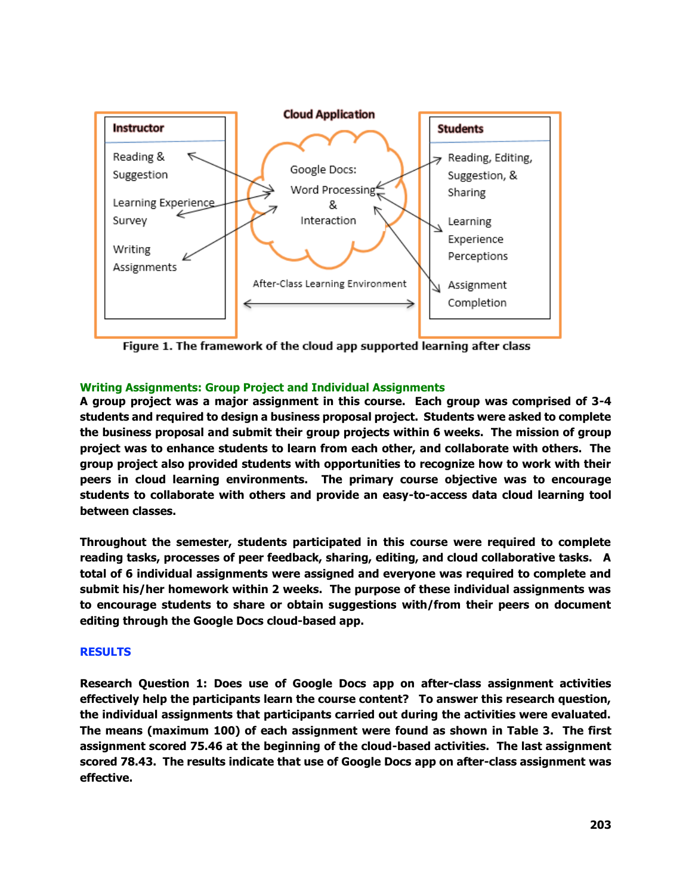

Figure 1. The framework of the cloud app supported learning after class

# **Writing Assignments: Group Project and Individual Assignments**

**A group project was a major assignment in this course. Each group was comprised of 3-4 students and required to design a business proposal project. Students were asked to complete the business proposal and submit their group projects within 6 weeks. The mission of group project was to enhance students to learn from each other, and collaborate with others. The group project also provided students with opportunities to recognize how to work with their peers in cloud learning environments. The primary course objective was to encourage students to collaborate with others and provide an easy-to-access data cloud learning tool between classes.** 

**Throughout the semester, students participated in this course were required to complete reading tasks, processes of peer feedback, sharing, editing, and cloud collaborative tasks. A total of 6 individual assignments were assigned and everyone was required to complete and submit his/her homework within 2 weeks. The purpose of these individual assignments was to encourage students to share or obtain suggestions with/from their peers on document editing through the Google Docs cloud-based app.** 

# **RESULTS**

**Research Question 1: Does use of Google Docs app on after-class assignment activities effectively help the participants learn the course content? To answer this research question, the individual assignments that participants carried out during the activities were evaluated. The means (maximum 100) of each assignment were found as shown in Table 3. The first assignment scored 75.46 at the beginning of the cloud-based activities. The last assignment scored 78.43. The results indicate that use of Google Docs app on after-class assignment was effective.**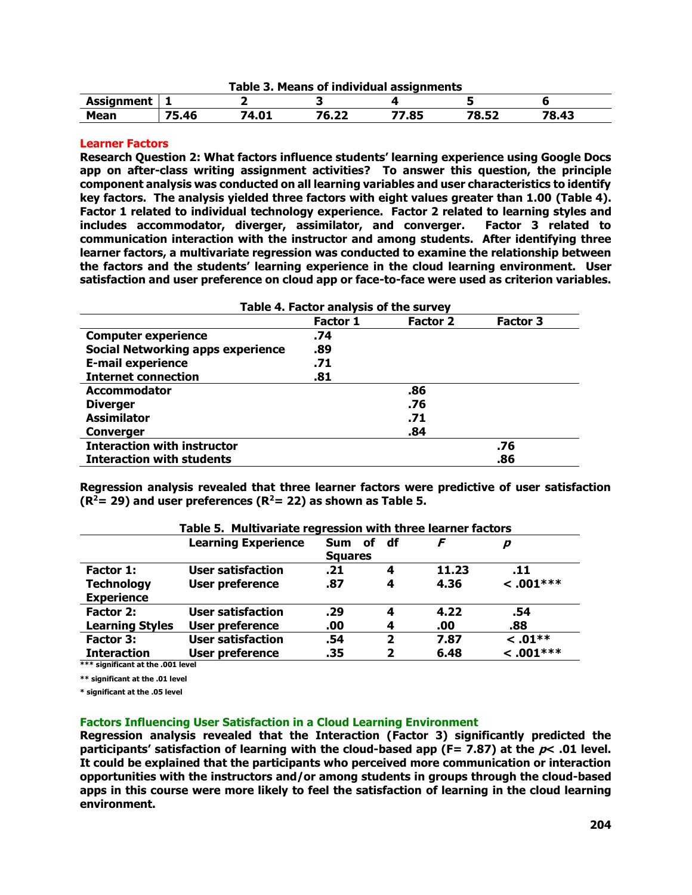| \ssianment<br><b>ASJ.</b> |                |              |                   |                |                     |                          |
|---------------------------|----------------|--------------|-------------------|----------------|---------------------|--------------------------|
| Mean                      | --<br>--<br>46 | . n-<br>9.VI | - -<br>76<br>0.ZZ | $^{\prime}.85$ | <b>7852</b><br>O.JZ | 70<br>$\sqrt{2}$<br>د+.ס |

### **Learner Factors**

**Research Question 2: What factors influence students' learning experience using Google Docs app on after-class writing assignment activities? To answer this question, the principle component analysis was conducted on all learning variables and user characteristics to identify key factors. The analysis yielded three factors with eight values greater than 1.00 (Table 4). Factor 1 related to individual technology experience. Factor 2 related to learning styles and includes accommodator, diverger, assimilator, and converger. Factor 3 related to communication interaction with the instructor and among students. After identifying three learner factors, a multivariate regression was conducted to examine the relationship between the factors and the students' learning experience in the cloud learning environment. User satisfaction and user preference on cloud app or face-to-face were used as criterion variables.** 

| Table 4. Factor analysis of the survey   |          |                 |                 |  |
|------------------------------------------|----------|-----------------|-----------------|--|
|                                          | Factor 1 | <b>Factor 2</b> | <b>Factor 3</b> |  |
| <b>Computer experience</b>               | .74      |                 |                 |  |
| <b>Social Networking apps experience</b> | .89      |                 |                 |  |
| <b>E-mail experience</b>                 | .71      |                 |                 |  |
| <b>Internet connection</b>               | .81      |                 |                 |  |
| <b>Accommodator</b>                      |          | .86             |                 |  |
| <b>Diverger</b>                          |          | .76             |                 |  |
| <b>Assimilator</b>                       |          | .71             |                 |  |
| <b>Converger</b>                         |          | .84             |                 |  |
| <b>Interaction with instructor</b>       |          |                 | .76             |  |
| <b>Interaction with students</b>         |          |                 | .86             |  |

**Regression analysis revealed that three learner factors were predictive of user satisfaction (R<sup>2</sup>= 29) and user preferences (R<sup>2</sup>= 22) as shown as Table 5.** 

|                        | Table 5. Multivariate regression with three learner factors<br><b>Learning Experience</b> | Sum of<br><b>Squares</b> | df           |       | n            |
|------------------------|-------------------------------------------------------------------------------------------|--------------------------|--------------|-------|--------------|
| Factor 1:              | <b>User satisfaction</b>                                                                  | .21                      | 4            | 11.23 | .11          |
| <b>Technology</b>      | <b>User preference</b>                                                                    | .87                      | 4            | 4.36  | $< .001***$  |
| <b>Experience</b>      |                                                                                           |                          |              |       |              |
| Factor 2:              | <b>User satisfaction</b>                                                                  | .29                      | 4            | 4.22  | .54          |
| <b>Learning Styles</b> | <b>User preference</b>                                                                    | .00                      | 4            | .00   | .88          |
| Factor 3:              | <b>User satisfaction</b>                                                                  | .54                      | $\mathbf{2}$ | 7.87  | $\leq .01**$ |
| <b>Interaction</b>     | User preference                                                                           | .35                      | 2            | 6.48  | $< .001***$  |

**\*\*\* significant at the .001 level**

**\*\* significant at the .01 level**

**\* significant at the .05 level** 

#### **Factors Influencing User Satisfaction in a Cloud Learning Environment**

**Regression analysis revealed that the Interaction (Factor 3) significantly predicted the participants' satisfaction of learning with the cloud-based app (F= 7.87) at the p< .01 level. It could be explained that the participants who perceived more communication or interaction opportunities with the instructors and/or among students in groups through the cloud-based apps in this course were more likely to feel the satisfaction of learning in the cloud learning environment.**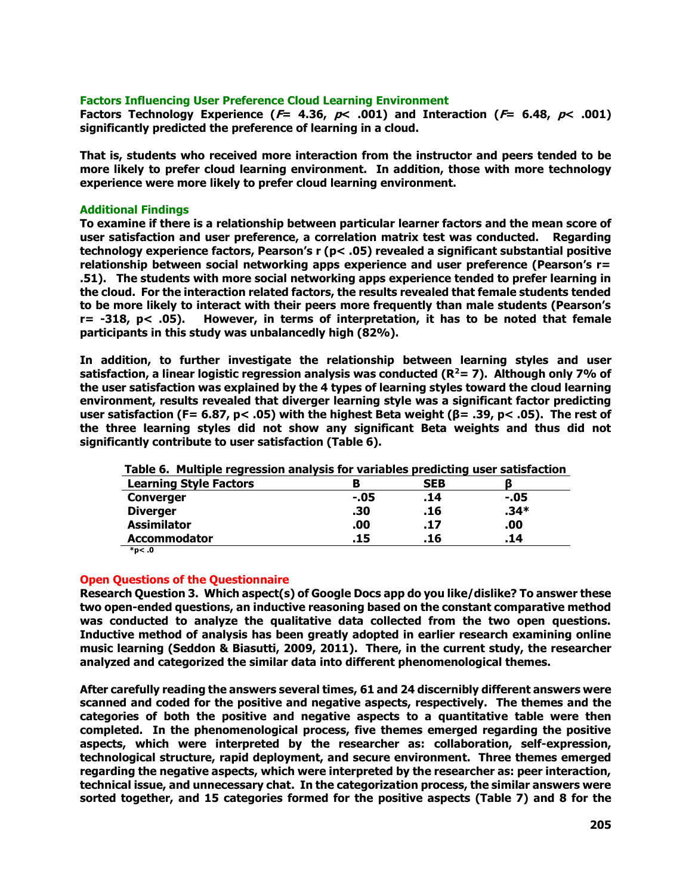### **Factors Influencing User Preference Cloud Learning Environment**

**Factors Technology Experience (** $F = 4.36$ **,**  $p< .001$ **) and Interaction (** $F = 6.48$ **,**  $p< .001$ **) significantly predicted the preference of learning in a cloud.** 

**That is, students who received more interaction from the instructor and peers tended to be more likely to prefer cloud learning environment. In addition, those with more technology experience were more likely to prefer cloud learning environment.** 

### **Additional Findings**

**To examine if there is a relationship between particular learner factors and the mean score of user satisfaction and user preference, a correlation matrix test was conducted. Regarding technology experience factors, Pearson's r (p< .05) revealed a significant substantial positive relationship between social networking apps experience and user preference (Pearson's r= .51). The students with more social networking apps experience tended to prefer learning in the cloud. For the interaction related factors, the results revealed that female students tended to be more likely to interact with their peers more frequently than male students (Pearson's r= -318, p< .05). However, in terms of interpretation, it has to be noted that female participants in this study was unbalancedly high (82%).** 

**In addition, to further investigate the relationship between learning styles and user satisfaction, a linear logistic regression analysis was conducted (R<sup>2</sup>= 7). Although only 7% of the user satisfaction was explained by the 4 types of learning styles toward the cloud learning environment, results revealed that diverger learning style was a significant factor predicting user satisfaction (F= 6.87, p< .05) with the highest Beta weight (β= .39, p< .05). The rest of the three learning styles did not show any significant Beta weights and thus did not significantly contribute to user satisfaction (Table 6).** 

| <u>. 2001 - 101 - 101 - 101 - 101 - 101 - 101 - 101 - 101 - 101 - 101 - 101 - 101 - 101 - 101 - 101 - 101 - 101 -</u> |      |     |        |  |
|-----------------------------------------------------------------------------------------------------------------------|------|-----|--------|--|
| <b>Learning Style Factors</b>                                                                                         |      | SEB |        |  |
| <b>Converger</b>                                                                                                      | -.05 | .14 | -.05   |  |
| <b>Diverger</b>                                                                                                       | .30  | .16 | $.34*$ |  |
| <b>Assimilator</b>                                                                                                    | .00  | .17 | .00    |  |
| <b>Accommodator</b>                                                                                                   | .15  | .16 | .14    |  |

**Table 6. Multiple regression analysis for variables predicting user satisfaction**

 **\*p< .0**

# **Open Questions of the Questionnaire**

**Research Question 3. Which aspect(s) of Google Docs app do you like/dislike? To answer these two open-ended questions, an inductive reasoning based on the constant comparative method was conducted to analyze the qualitative data collected from the two open questions. Inductive method of analysis has been greatly adopted in earlier research examining online music learning (Seddon & Biasutti, 2009, 2011). There, in the current study, the researcher analyzed and categorized the similar data into different phenomenological themes.** 

**After carefully reading the answers several times, 61 and 24 discernibly different answers were scanned and coded for the positive and negative aspects, respectively. The themes and the categories of both the positive and negative aspects to a quantitative table were then completed. In the phenomenological process, five themes emerged regarding the positive aspects, which were interpreted by the researcher as: collaboration, self-expression, technological structure, rapid deployment, and secure environment. Three themes emerged regarding the negative aspects, which were interpreted by the researcher as: peer interaction, technical issue, and unnecessary chat. In the categorization process, the similar answers were sorted together, and 15 categories formed for the positive aspects (Table 7) and 8 for the**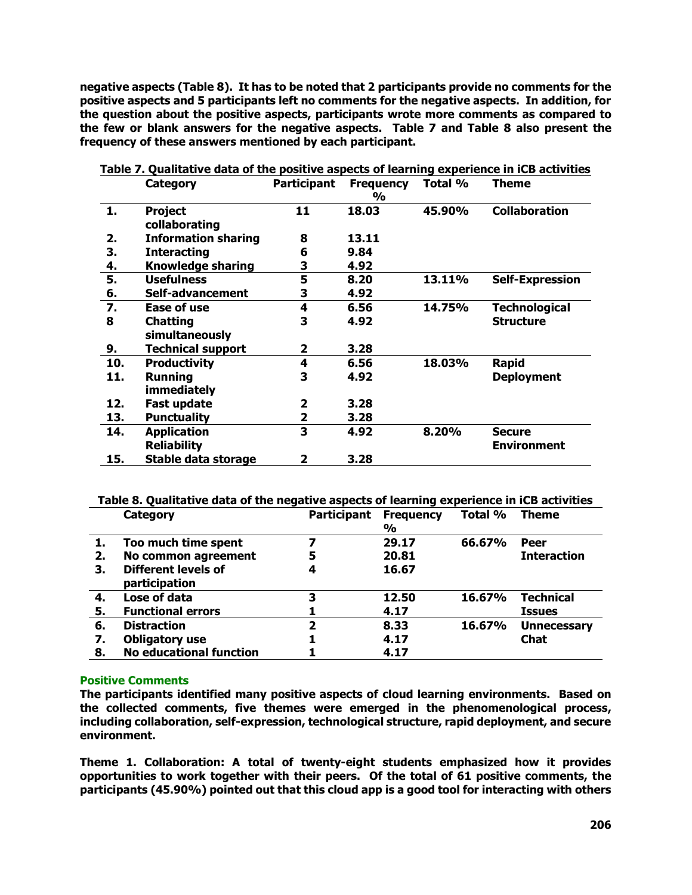**negative aspects (Table 8). It has to be noted that 2 participants provide no comments for the positive aspects and 5 participants left no comments for the negative aspects. In addition, for the question about the positive aspects, participants wrote more comments as compared to the few or blank answers for the negative aspects. Table 7 and Table 8 also present the frequency of these answers mentioned by each participant.** 

|     | <b>Category</b>                 | <b>Participant</b> | <b>Frequency</b><br>$\frac{0}{0}$ | Total % | <b>Theme</b>           |
|-----|---------------------------------|--------------------|-----------------------------------|---------|------------------------|
| 1.  | <b>Project</b><br>collaborating | 11                 | 18.03                             | 45.90%  | <b>Collaboration</b>   |
| 2.  | <b>Information sharing</b>      | 8                  | 13.11                             |         |                        |
| 3.  | <b>Interacting</b>              | 6                  | 9.84                              |         |                        |
| 4.  | <b>Knowledge sharing</b>        | 3                  | 4.92                              |         |                        |
| 5.  | <b>Usefulness</b>               | 5                  | 8.20                              | 13.11%  | <b>Self-Expression</b> |
| 6.  | Self-advancement                | 3                  | 4.92                              |         |                        |
| 7.  | Ease of use                     | 4                  | 6.56                              | 14.75%  | <b>Technological</b>   |
| 8   | <b>Chatting</b>                 | 3                  | 4.92                              |         | <b>Structure</b>       |
|     | simultaneously                  |                    |                                   |         |                        |
| 9.  | <b>Technical support</b>        | $\mathbf{2}$       | 3.28                              |         |                        |
| 10. | <b>Productivity</b>             | 4                  | 6.56                              | 18.03%  | <b>Rapid</b>           |
| 11. | <b>Running</b>                  | 3                  | 4.92                              |         | <b>Deployment</b>      |
|     | <b>immediately</b>              |                    |                                   |         |                        |
| 12. | <b>Fast update</b>              | 2                  | 3.28                              |         |                        |
| 13. | <b>Punctuality</b>              | 2                  | 3.28                              |         |                        |
| 14. | <b>Application</b>              | 3                  | 4.92                              | 8.20%   | <b>Secure</b>          |
|     | <b>Reliability</b>              |                    |                                   |         | <b>Environment</b>     |
| 15. | Stable data storage             | 2                  | 3.28                              |         |                        |

**Table 7. Qualitative data of the positive aspects of learning experience in iCB activities**

# **Table 8. Qualitative data of the negative aspects of learning experience in iCB activities**

|    | Category                             | <b>Participant</b> | <b>Frequency</b><br>$\frac{0}{0}$ | Total % | <b>Theme</b>       |
|----|--------------------------------------|--------------------|-----------------------------------|---------|--------------------|
| 1. | Too much time spent                  | 7                  | 29.17                             | 66.67%  | Peer               |
| 2. | No common agreement                  | 5                  | 20.81                             |         | <b>Interaction</b> |
| 3. | Different levels of<br>participation | 4                  | 16.67                             |         |                    |
| 4. | Lose of data                         | 3                  | 12.50                             | 16.67%  | <b>Technical</b>   |
| 5. | <b>Functional errors</b>             |                    | 4.17                              |         | <b>Issues</b>      |
| 6. | <b>Distraction</b>                   | $\overline{2}$     | 8.33                              | 16.67%  | <b>Unnecessary</b> |
| 7. | <b>Obligatory use</b>                |                    | 4.17                              |         | <b>Chat</b>        |
| 8. | <b>No educational function</b>       |                    | 4.17                              |         |                    |

# **Positive Comments**

**The participants identified many positive aspects of cloud learning environments. Based on the collected comments, five themes were emerged in the phenomenological process, including collaboration, self-expression, technological structure, rapid deployment, and secure environment.** 

**Theme 1. Collaboration: A total of twenty-eight students emphasized how it provides opportunities to work together with their peers. Of the total of 61 positive comments, the participants (45.90%) pointed out that this cloud app is a good tool for interacting with others**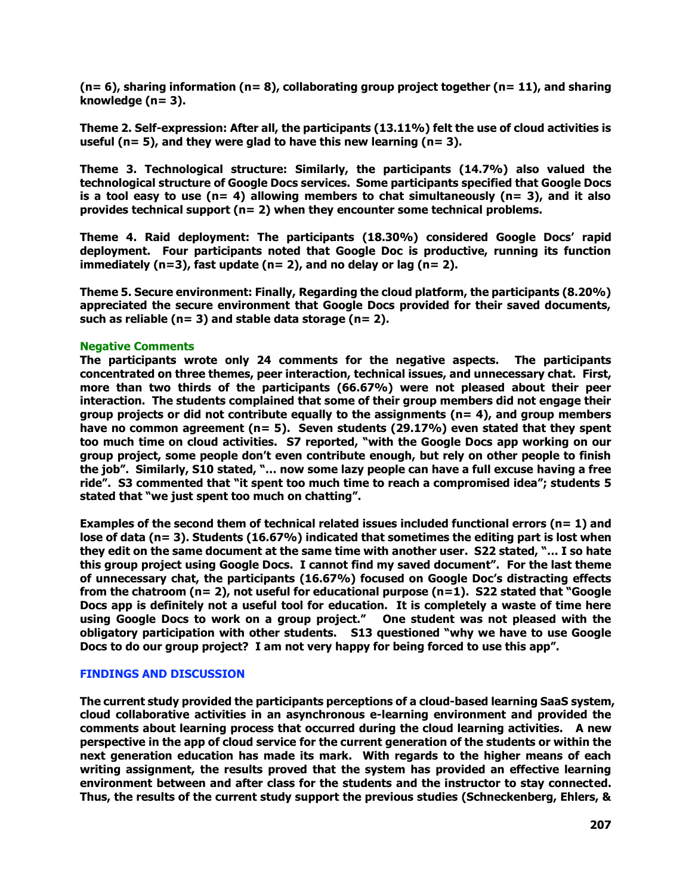**(n= 6), sharing information (n= 8), collaborating group project together (n= 11), and sharing knowledge (n= 3).** 

**Theme 2. Self-expression: After all, the participants (13.11%) felt the use of cloud activities is useful (n= 5), and they were glad to have this new learning (n= 3).** 

**Theme 3. Technological structure: Similarly, the participants (14.7%) also valued the technological structure of Google Docs services. Some participants specified that Google Docs is a tool easy to use (n= 4) allowing members to chat simultaneously (n= 3), and it also provides technical support (n= 2) when they encounter some technical problems.** 

**Theme 4. Raid deployment: The participants (18.30%) considered Google Docs' rapid deployment. Four participants noted that Google Doc is productive, running its function immediately (n=3), fast update (n= 2), and no delay or lag (n= 2).** 

**Theme 5. Secure environment: Finally, Regarding the cloud platform, the participants (8.20%) appreciated the secure environment that Google Docs provided for their saved documents, such as reliable (n= 3) and stable data storage (n= 2).** 

# **Negative Comments**

**The participants wrote only 24 comments for the negative aspects. The participants concentrated on three themes, peer interaction, technical issues, and unnecessary chat. First, more than two thirds of the participants (66.67%) were not pleased about their peer interaction. The students complained that some of their group members did not engage their group projects or did not contribute equally to the assignments (n= 4), and group members have no common agreement (n= 5). Seven students (29.17%) even stated that they spent too much time on cloud activities. S7 reported, "with the Google Docs app working on our group project, some people don't even contribute enough, but rely on other people to finish the job". Similarly, S10 stated, "… now some lazy people can have a full excuse having a free ride". S3 commented that "it spent too much time to reach a compromised idea"; students 5 stated that "we just spent too much on chatting".** 

**Examples of the second them of technical related issues included functional errors (n= 1) and lose of data (n= 3). Students (16.67%) indicated that sometimes the editing part is lost when they edit on the same document at the same time with another user. S22 stated, "… I so hate this group project using Google Docs. I cannot find my saved document". For the last theme of unnecessary chat, the participants (16.67%) focused on Google Doc's distracting effects from the chatroom (n= 2), not useful for educational purpose (n=1). S22 stated that "Google Docs app is definitely not a useful tool for education. It is completely a waste of time here using Google Docs to work on a group project." One student was not pleased with the obligatory participation with other students. S13 questioned "why we have to use Google Docs to do our group project? I am not very happy for being forced to use this app".** 

# **FINDINGS AND DISCUSSION**

**The current study provided the participants perceptions of a cloud-based learning SaaS system, cloud collaborative activities in an asynchronous e-learning environment and provided the comments about learning process that occurred during the cloud learning activities. A new perspective in the app of cloud service for the current generation of the students or within the next generation education has made its mark. With regards to the higher means of each writing assignment, the results proved that the system has provided an effective learning environment between and after class for the students and the instructor to stay connected. Thus, the results of the current study support the previous studies (Schneckenberg, Ehlers, &**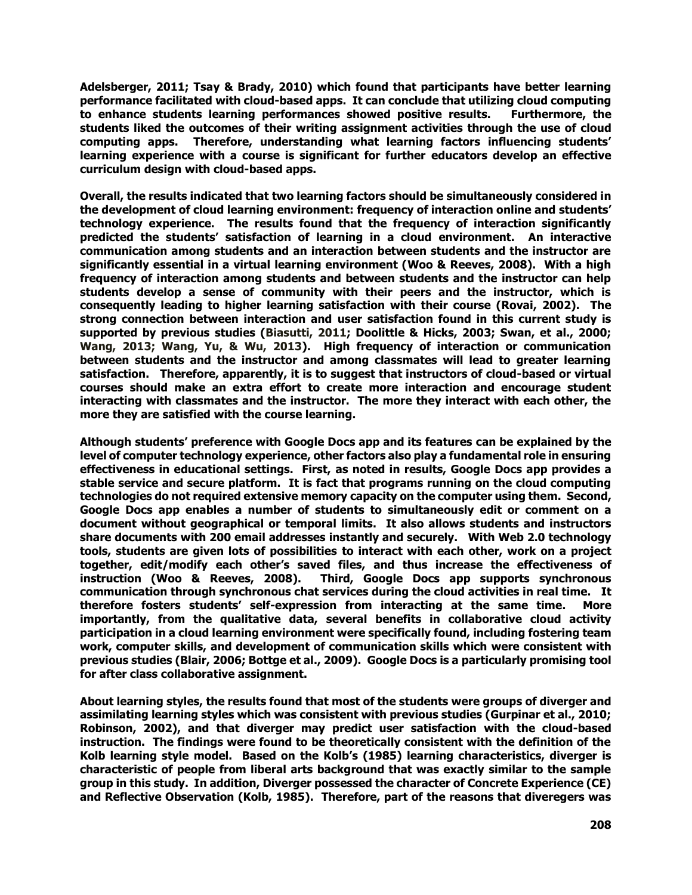**Adelsberger, 2011; Tsay & Brady, 2010) which found that participants have better learning performance facilitated with cloud-based apps. It can conclude that utilizing cloud computing to enhance students learning performances showed positive results. Furthermore, the students liked the outcomes of their writing assignment activities through the use of cloud computing apps. Therefore, understanding what learning factors influencing students' learning experience with a course is significant for further educators develop an effective curriculum design with cloud-based apps.**

**Overall, the results indicated that two learning factors should be simultaneously considered in the development of cloud learning environment: frequency of interaction online and students' technology experience. The results found that the frequency of interaction significantly predicted the students' satisfaction of learning in a cloud environment. An interactive communication among students and an interaction between students and the instructor are significantly essential in a virtual learning environment (Woo & Reeves, 2008). With a high frequency of interaction among students and between students and the instructor can help students develop a sense of community with their peers and the instructor, which is consequently leading to higher learning satisfaction with their course (Rovai, 2002). The strong connection between interaction and user satisfaction found in this current study is supported by previous studies (Biasutti, 2011; Doolittle & Hicks, 2003; Swan, et al., 2000; Wang, 2013; Wang, Yu, & Wu, 2013). High frequency of interaction or communication between students and the instructor and among classmates will lead to greater learning satisfaction. Therefore, apparently, it is to suggest that instructors of cloud-based or virtual courses should make an extra effort to create more interaction and encourage student interacting with classmates and the instructor. The more they interact with each other, the more they are satisfied with the course learning.** 

**Although students' preference with Google Docs app and its features can be explained by the level of computer technology experience, other factors also play a fundamental role in ensuring effectiveness in educational settings. First, as noted in results, Google Docs app provides a stable service and secure platform. It is fact that programs running on the cloud computing technologies do not required extensive memory capacity on the computer using them. Second, Google Docs app enables a number of students to simultaneously edit or comment on a document without geographical or temporal limits. It also allows students and instructors share documents with 200 email addresses instantly and securely. With Web 2.0 technology tools, students are given lots of possibilities to interact with each other, work on a project together, edit/modify each other's saved files, and thus increase the effectiveness of instruction (Woo & Reeves, 2008). Third, Google Docs app supports synchronous communication through synchronous chat services during the cloud activities in real time. It therefore fosters students' self-expression from interacting at the same time. More importantly, from the qualitative data, several benefits in collaborative cloud activity participation in a cloud learning environment were specifically found, including fostering team work, computer skills, and development of communication skills which were consistent with previous studies (Blair, 2006; Bottge et al., 2009). Google Docs is a particularly promising tool for after class collaborative assignment.** 

**About learning styles, the results found that most of the students were groups of diverger and assimilating learning styles which was consistent with previous studies (Gurpinar et al., 2010; Robinson, 2002), and that diverger may predict user satisfaction with the cloud-based instruction. The findings were found to be theoretically consistent with the definition of the Kolb learning style model. Based on the Kolb's (1985) learning characteristics, diverger is characteristic of people from liberal arts background that was exactly similar to the sample group in this study. In addition, Diverger possessed the character of Concrete Experience (CE) and Reflective Observation (Kolb, 1985). Therefore, part of the reasons that diveregers was**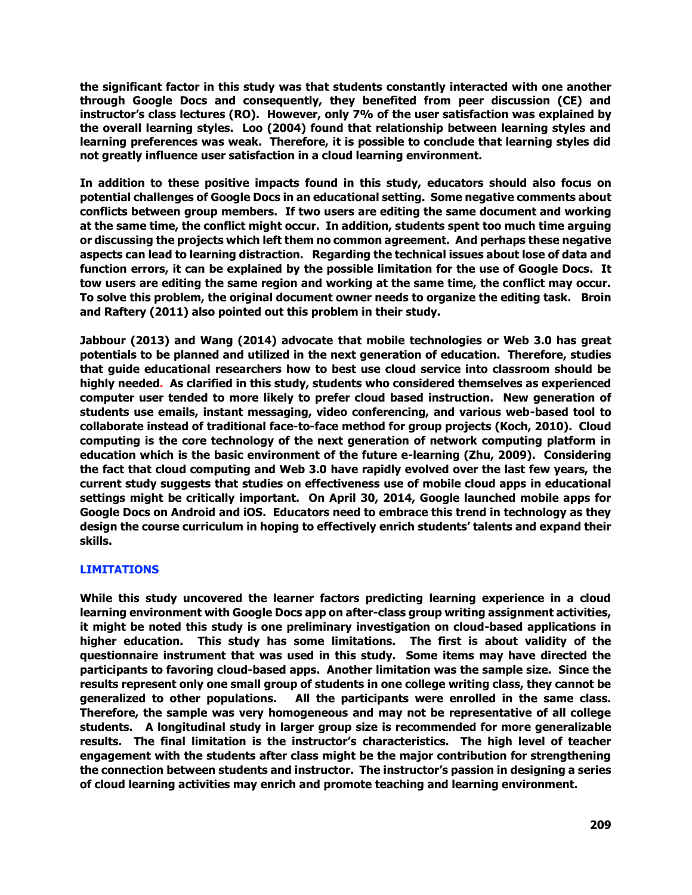**the significant factor in this study was that students constantly interacted with one another through Google Docs and consequently, they benefited from peer discussion (CE) and instructor's class lectures (RO). However, only 7% of the user satisfaction was explained by the overall learning styles. Loo (2004) found that relationship between learning styles and learning preferences was weak. Therefore, it is possible to conclude that learning styles did not greatly influence user satisfaction in a cloud learning environment.** 

**In addition to these positive impacts found in this study, educators should also focus on potential challenges of Google Docs in an educational setting. Some negative comments about conflicts between group members. If two users are editing the same document and working at the same time, the conflict might occur. In addition, students spent too much time arguing or discussing the projects which left them no common agreement. And perhaps these negative aspects can lead to learning distraction. Regarding the technical issues about lose of data and function errors, it can be explained by the possible limitation for the use of Google Docs. It tow users are editing the same region and working at the same time, the conflict may occur. To solve this problem, the original document owner needs to organize the editing task. Broin and Raftery (2011) also pointed out this problem in their study.** 

**Jabbour (2013) and Wang (2014) advocate that mobile technologies or Web 3.0 has great potentials to be planned and utilized in the next generation of education. Therefore, studies that guide educational researchers how to best use cloud service into classroom should be highly needed. As clarified in this study, students who considered themselves as experienced computer user tended to more likely to prefer cloud based instruction. New generation of students use emails, instant messaging, video conferencing, and various web-based tool to collaborate instead of traditional face-to-face method for group projects (Koch, 2010). Cloud computing is the core technology of the next generation of network computing platform in education which is the basic environment of the future e-learning (Zhu, 2009). Considering the fact that cloud computing and Web 3.0 have rapidly evolved over the last few years, the current study suggests that studies on effectiveness use of mobile cloud apps in educational settings might be critically important. On April 30, 2014, Google launched mobile apps for Google Docs on Android and iOS. Educators need to embrace this trend in technology as they design the course curriculum in hoping to effectively enrich students' talents and expand their skills.** 

# **LIMITATIONS**

**While this study uncovered the learner factors predicting learning experience in a cloud learning environment with Google Docs app on after-class group writing assignment activities, it might be noted this study is one preliminary investigation on cloud-based applications in higher education. This study has some limitations. The first is about validity of the questionnaire instrument that was used in this study. Some items may have directed the participants to favoring cloud-based apps. Another limitation was the sample size. Since the results represent only one small group of students in one college writing class, they cannot be generalized to other populations. All the participants were enrolled in the same class. Therefore, the sample was very homogeneous and may not be representative of all college students. A longitudinal study in larger group size is recommended for more generalizable results. The final limitation is the instructor's characteristics. The high level of teacher engagement with the students after class might be the major contribution for strengthening the connection between students and instructor. The instructor's passion in designing a series of cloud learning activities may enrich and promote teaching and learning environment.**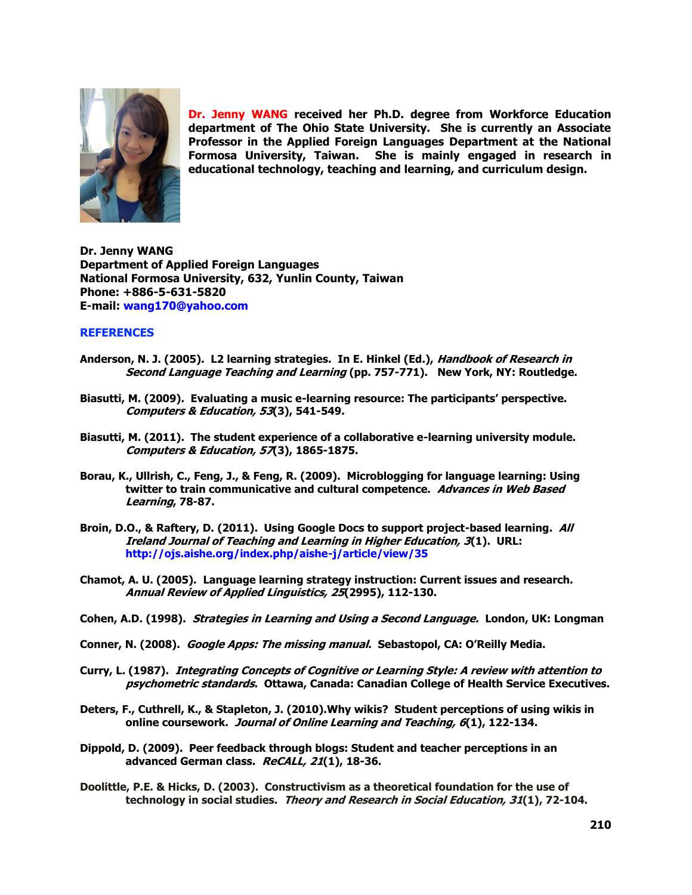

**Dr. Jenny WANG received her Ph.D. degree from Workforce Education department of The Ohio State University. She is currently an Associate Professor in the Applied Foreign Languages Department at the National Formosa University, Taiwan. She is mainly engaged in research in educational technology, teaching and learning, and curriculum design.** 

**Dr. Jenny WANG Department of Applied Foreign Languages National Formosa University, 632, Yunlin County, Taiwan Phone: +886-5-631-5820 E-mail: [wang170@yahoo.com](mailto:wang170@yahoo.com)**

### **REFERENCES**

- **Anderson, N. J. (2005). L2 learning strategies. In E. Hinkel (Ed.), Handbook of Research in Second Language Teaching and Learning (pp. 757-771). New York, NY: Routledge.**
- **Biasutti, M. (2009). Evaluating a music e-learning resource: The participants' perspective. Computers & Education, 53(3), 541-549.**
- **Biasutti, M. (2011). The student experience of a collaborative e-learning university module. Computers & Education, 57(3), 1865-1875.**
- **Borau, K., Ullrish, C., Feng, J., & Feng, R. (2009). Microblogging for language learning: Using twitter to train communicative and cultural competence. Advances in Web Based Learning, 78-87.**
- **Broin, D.O., & Raftery, D. (2011). Using Google Docs to support project-based learning. All Ireland Journal of Teaching and Learning in Higher Education, 3(1). URL: <http://ojs.aishe.org/index.php/aishe-j/article/view/35>**
- **Chamot, A. U. (2005). Language learning strategy instruction: Current issues and research. Annual Review of Applied Linguistics, 25(2995), 112-130.**
- **Cohen, A.D. (1998). Strategies in Learning and Using a Second Language. London, UK: Longman**
- **Conner, N. (2008). Google Apps: The missing manual. Sebastopol, CA: O'Reilly Media.**
- **Curry, L. (1987). Integrating Concepts of Cognitive or Learning Style: A review with attention to psychometric standards. Ottawa, Canada: Canadian College of Health Service Executives.**
- **Deters, F., Cuthrell, K., & Stapleton, J. (2010).Why wikis? Student perceptions of using wikis in online coursework. Journal of Online Learning and Teaching, 6(1), 122-134.**
- **Dippold, D. (2009). Peer feedback through blogs: Student and teacher perceptions in an advanced German class. ReCALL, 21(1), 18-36.**
- **Doolittle, P.E. & Hicks, D. (2003). Constructivism as a theoretical foundation for the use of technology in social studies. Theory and Research in Social Education, 31(1), 72-104.**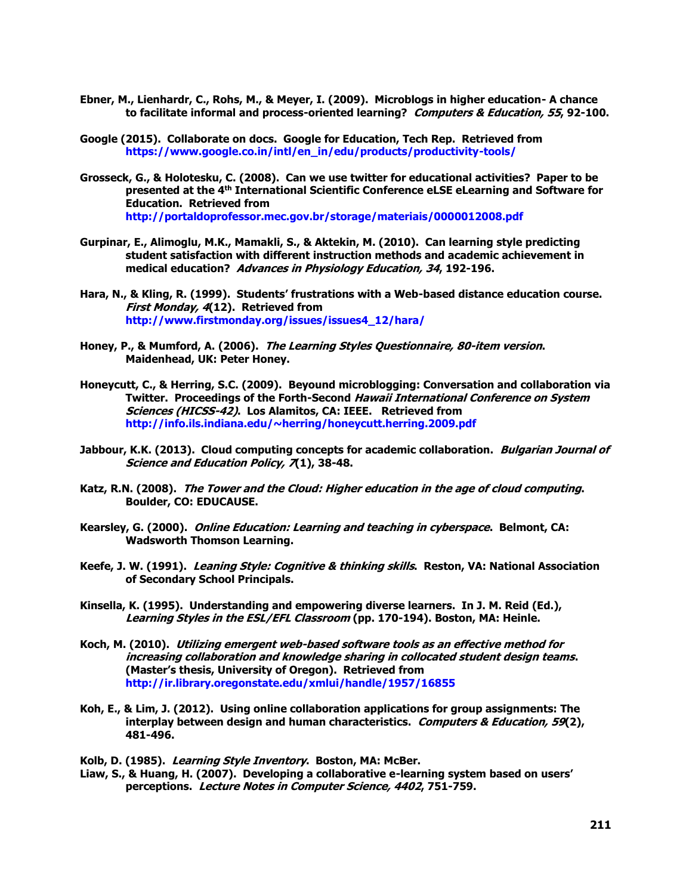- **Ebner, M., Lienhardr, C., Rohs, M., & Meyer, I. (2009). Microblogs in higher education- A chance to facilitate informal and process-oriented learning? Computers & Education, 55, 92-100.**
- **Google (2015). Collaborate on docs. Google for Education, Tech Rep. Retrieved from [https://www.google.co.in/intl/en\\_in/edu/products/productivity-tools/](https://www.google.co.in/intl/en_in/edu/products/productivity-tools/)**
- **Grosseck, G., & Holotesku, C. (2008). Can we use twitter for educational activities? Paper to be presented at the 4th International Scientific Conference eLSE eLearning and Software for Education. Retrieved from <http://portaldoprofessor.mec.gov.br/storage/materiais/0000012008.pdf>**
- **Gurpinar, E., Alimoglu, M.K., Mamakli, S., & Aktekin, M. (2010). Can learning style predicting student satisfaction with different instruction methods and academic achievement in medical education? Advances in Physiology Education, 34, 192-196.**
- **Hara, N., & Kling, R. (1999). Students' frustrations with a Web-based distance education course. First Monday, 4(12). Retrieved from [http://www.firstmonday.org/issues/issues4\\_12/hara/](http://www.firstmonday.org/issues/issues4_12/hara/)**
- **Honey, P., & Mumford, A. (2006). The Learning Styles Questionnaire, 80-item version. Maidenhead, UK: Peter Honey.**
- **Honeycutt, C., & Herring, S.C. (2009). Beyound microblogging: Conversation and collaboration via Twitter. Proceedings of the Forth-Second Hawaii International Conference on System Sciences (HICSS-42). Los Alamitos, CA: IEEE. Retrieved from <http://info.ils.indiana.edu/~herring/honeycutt.herring.2009.pdf>**
- **Jabbour, K.K. (2013). Cloud computing concepts for academic collaboration. Bulgarian Journal of Science and Education Policy, 7(1), 38-48.**
- **Katz, R.N. (2008). The Tower and the Cloud: Higher education in the age of cloud computing. Boulder, CO: EDUCAUSE.**
- **Kearsley, G. (2000). Online Education: Learning and teaching in cyberspace. Belmont, CA: Wadsworth Thomson Learning.**
- **Keefe, J. W. (1991). Leaning Style: Cognitive & thinking skills. Reston, VA: National Association of Secondary School Principals.**
- **Kinsella, K. (1995). Understanding and empowering diverse learners. In J. M. Reid (Ed.), Learning Styles in the ESL/EFL Classroom (pp. 170-194). Boston, MA: Heinle.**
- **Koch, M. (2010). Utilizing emergent web-based software tools as an effective method for increasing collaboration and knowledge sharing in collocated student design teams. (Master's thesis, University of Oregon). Retrieved from <http://ir.library.oregonstate.edu/xmlui/handle/1957/16855>**
- **Koh, E., & Lim, J. (2012). Using online collaboration applications for group assignments: The interplay between design and human characteristics. Computers & Education, 59(2), 481-496.**
- **Kolb, D. (1985). Learning Style Inventory. Boston, MA: McBer.**
- **Liaw, S., & Huang, H. (2007). Developing a collaborative e-learning system based on users' perceptions. Lecture Notes in Computer Science, 4402, 751-759.**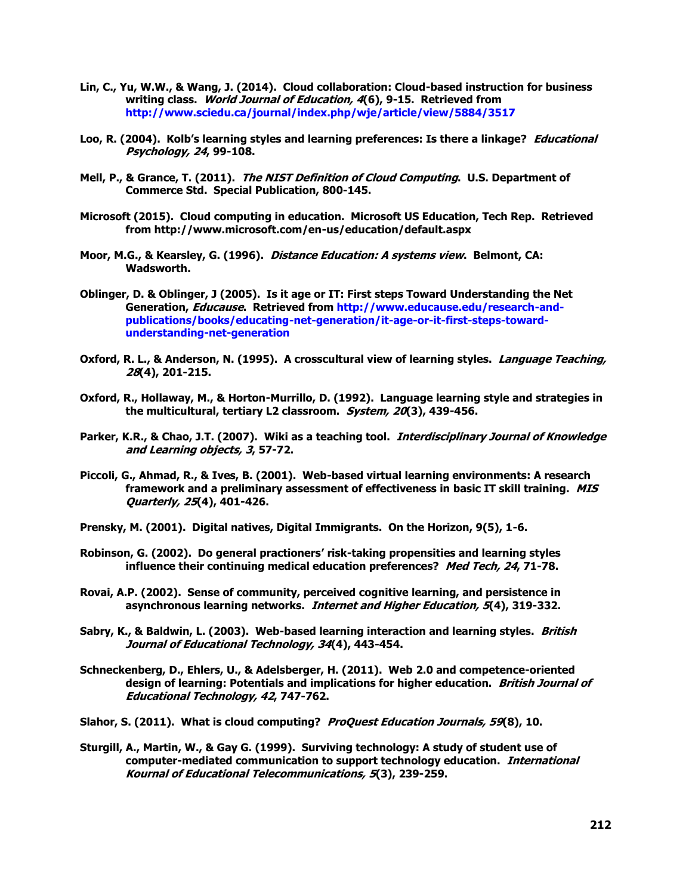- **Lin, C., Yu, W.W., & Wang, J. (2014). Cloud collaboration: Cloud-based instruction for business writing class. World Journal of Education, 4(6), 9-15. Retrieved from <http://www.sciedu.ca/journal/index.php/wje/article/view/5884/3517>**
- **Loo, R. (2004). Kolb's learning styles and learning preferences: Is there a linkage? Educational Psychology, 24, 99-108.**
- **Mell, P., & Grance, T. (2011). The NIST Definition of Cloud Computing. U.S. Department of Commerce Std. Special Publication, 800-145.**
- **Microsoft (2015). Cloud computing in education. Microsoft US Education, Tech Rep. Retrieved from http://www.microsoft.com/en-us/education/default.aspx**
- **Moor, M.G., & Kearsley, G. (1996). Distance Education: A systems view. Belmont, CA: Wadsworth.**
- **Oblinger, D. & Oblinger, J (2005). Is it age or IT: First steps Toward Understanding the Net Generation, Educause. Retrieved from [http://www.educause.edu/research-and](http://www.educause.edu/research-and-publications/books/educating-net-generation/it-age-or-it-first-steps-toward-understanding-net-generation)[publications/books/educating-net-generation/it-age-or-it-first-steps-toward](http://www.educause.edu/research-and-publications/books/educating-net-generation/it-age-or-it-first-steps-toward-understanding-net-generation)[understanding-net-generation](http://www.educause.edu/research-and-publications/books/educating-net-generation/it-age-or-it-first-steps-toward-understanding-net-generation)**
- **Oxford, R. L., & Anderson, N. (1995). A crosscultural view of learning styles. Language Teaching, 28(4), 201-215.**
- **Oxford, R., Hollaway, M., & Horton-Murrillo, D. (1992). Language learning style and strategies in the multicultural, tertiary L2 classroom. System, 20(3), 439-456.**
- **Parker, K.R., & Chao, J.T. (2007). Wiki as a teaching tool. Interdisciplinary Journal of Knowledge and Learning objects, 3, 57-72.**
- **Piccoli, G., Ahmad, R., & Ives, B. (2001). Web-based virtual learning environments: A research framework and a preliminary assessment of effectiveness in basic IT skill training. MIS Quarterly, 25(4), 401-426.**
- **Prensky, M. (2001). Digital natives, Digital Immigrants. On the Horizon, 9(5), 1-6.**
- **Robinson, G. (2002). Do general practioners' risk-taking propensities and learning styles influence their continuing medical education preferences? Med Tech, 24, 71-78.**
- **Rovai, A.P. (2002). Sense of community, perceived cognitive learning, and persistence in asynchronous learning networks. Internet and Higher Education, 5(4), 319-332.**
- **Sabry, K., & Baldwin, L. (2003). Web-based learning interaction and learning styles. British Journal of Educational Technology, 34(4), 443-454.**
- **Schneckenberg, D., Ehlers, U., & Adelsberger, H. (2011). Web 2.0 and competence-oriented design of learning: Potentials and implications for higher education. British Journal of Educational Technology, 42, 747-762.**
- **Slahor, S. (2011). What is cloud computing? ProQuest Education Journals, 59(8), 10.**
- **Sturgill, A., Martin, W., & Gay G. (1999). Surviving technology: A study of student use of computer-mediated communication to support technology education. International Kournal of Educational Telecommunications, 5(3), 239-259.**